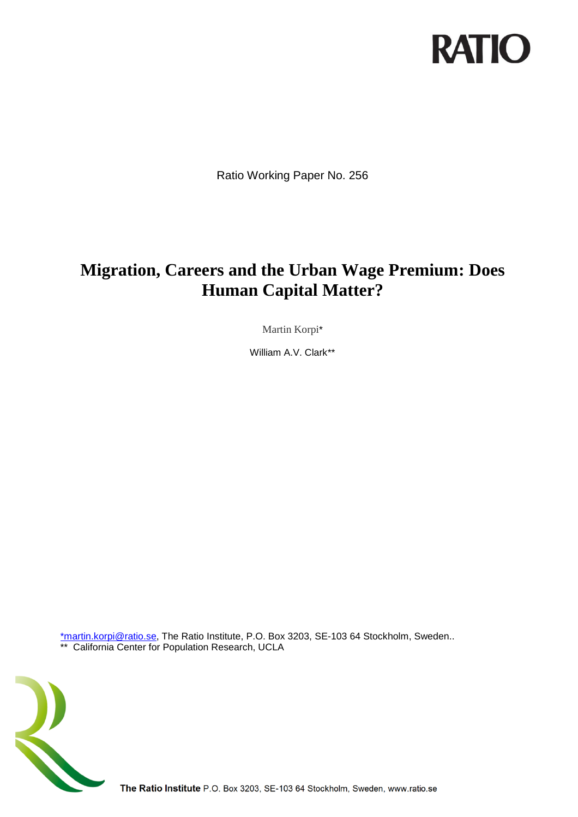

Ratio Working Paper No. 256

# **Migration, Careers and the Urban Wage Premium: Does Human Capital Matter?**

Martin Korpi\*

William A.V. Clark\*\*

[\\*martin.korpi@ratio.se,](mailto:*martin.korpi@ratio.se) The Ratio Institute, P.O. Box 3203, SE-103 64 Stockholm, Sweden.. \*\* California Center for Population Research, UCLA



The Ratio Institute P.O. Box 3203, SE-103 64 Stockholm, Sweden, www.ratio.se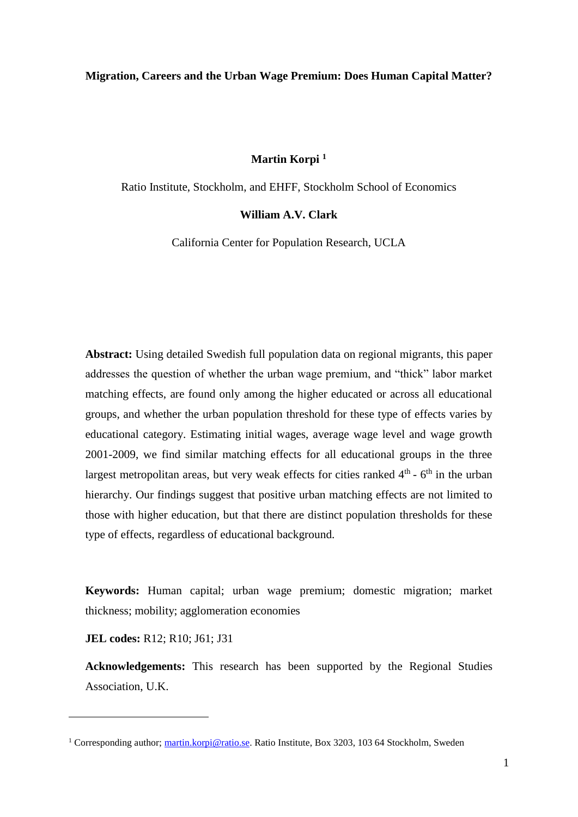#### **Migration, Careers and the Urban Wage Premium: Does Human Capital Matter?**

## **Martin Korpi <sup>1</sup>**

Ratio Institute, Stockholm, and EHFF, Stockholm School of Economics

#### **William A.V. Clark**

California Center for Population Research, UCLA

**Abstract:** Using detailed Swedish full population data on regional migrants, this paper addresses the question of whether the urban wage premium, and "thick" labor market matching effects, are found only among the higher educated or across all educational groups, and whether the urban population threshold for these type of effects varies by educational category. Estimating initial wages, average wage level and wage growth 2001-2009, we find similar matching effects for all educational groups in the three largest metropolitan areas, but very weak effects for cities ranked  $4<sup>th</sup>$  -  $6<sup>th</sup>$  in the urban hierarchy. Our findings suggest that positive urban matching effects are not limited to those with higher education, but that there are distinct population thresholds for these type of effects, regardless of educational background.

**Keywords:** Human capital; urban wage premium; domestic migration; market thickness; mobility; agglomeration economies

**JEL codes:** R12; R10; J61; J31

<u>.</u>

**Acknowledgements:** This research has been supported by the Regional Studies Association, U.K.

<sup>&</sup>lt;sup>1</sup> Corresponding author; [martin.korpi@ratio.se.](mailto:martin.korpi@ratio.se) Ratio Institute, Box 3203, 103 64 Stockholm, Sweden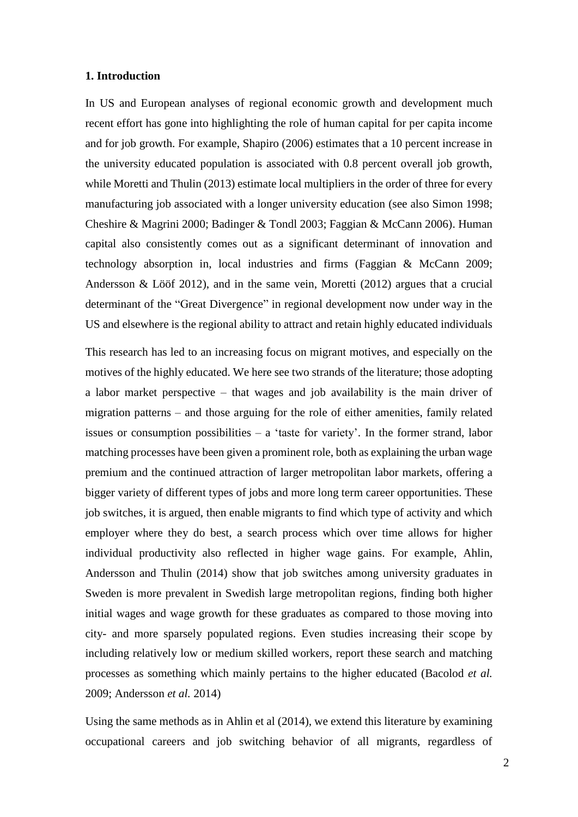#### **1. Introduction**

In US and European analyses of regional economic growth and development much recent effort has gone into highlighting the role of human capital for per capita income and for job growth. For example, Shapiro (2006) estimates that a 10 percent increase in the university educated population is associated with 0.8 percent overall job growth, while Moretti and Thulin (2013) estimate local multipliers in the order of three for every manufacturing job associated with a longer university education (see also Simon 1998; Cheshire & Magrini 2000; Badinger & Tondl 2003; Faggian & McCann 2006). Human capital also consistently comes out as a significant determinant of innovation and technology absorption in, local industries and firms (Faggian & McCann 2009; Andersson & Lööf 2012), and in the same vein, Moretti (2012) argues that a crucial determinant of the "Great Divergence" in regional development now under way in the US and elsewhere is the regional ability to attract and retain highly educated individuals

This research has led to an increasing focus on migrant motives, and especially on the motives of the highly educated. We here see two strands of the literature; those adopting a labor market perspective – that wages and job availability is the main driver of migration patterns – and those arguing for the role of either amenities, family related issues or consumption possibilities  $-$  a 'taste for variety'. In the former strand, labor matching processes have been given a prominent role, both as explaining the urban wage premium and the continued attraction of larger metropolitan labor markets, offering a bigger variety of different types of jobs and more long term career opportunities. These job switches, it is argued, then enable migrants to find which type of activity and which employer where they do best, a search process which over time allows for higher individual productivity also reflected in higher wage gains. For example, Ahlin, Andersson and Thulin (2014) show that job switches among university graduates in Sweden is more prevalent in Swedish large metropolitan regions, finding both higher initial wages and wage growth for these graduates as compared to those moving into city- and more sparsely populated regions. Even studies increasing their scope by including relatively low or medium skilled workers, report these search and matching processes as something which mainly pertains to the higher educated (Bacolod *et al.* 2009; Andersson *et al.* 2014)

Using the same methods as in Ahlin et al (2014), we extend this literature by examining occupational careers and job switching behavior of all migrants, regardless of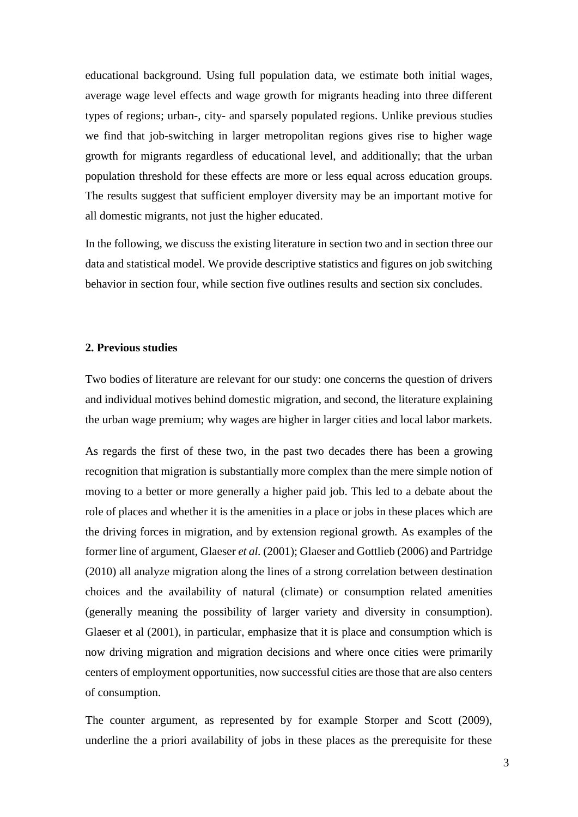educational background. Using full population data, we estimate both initial wages, average wage level effects and wage growth for migrants heading into three different types of regions; urban-, city- and sparsely populated regions. Unlike previous studies we find that job-switching in larger metropolitan regions gives rise to higher wage growth for migrants regardless of educational level, and additionally; that the urban population threshold for these effects are more or less equal across education groups. The results suggest that sufficient employer diversity may be an important motive for all domestic migrants, not just the higher educated.

In the following, we discuss the existing literature in section two and in section three our data and statistical model. We provide descriptive statistics and figures on job switching behavior in section four, while section five outlines results and section six concludes.

# **2. Previous studies**

Two bodies of literature are relevant for our study: one concerns the question of drivers and individual motives behind domestic migration, and second, the literature explaining the urban wage premium; why wages are higher in larger cities and local labor markets.

As regards the first of these two, in the past two decades there has been a growing recognition that migration is substantially more complex than the mere simple notion of moving to a better or more generally a higher paid job. This led to a debate about the role of places and whether it is the amenities in a place or jobs in these places which are the driving forces in migration, and by extension regional growth. As examples of the former line of argument, Glaeser *et al.* (2001); Glaeser and Gottlieb (2006) and Partridge (2010) all analyze migration along the lines of a strong correlation between destination choices and the availability of natural (climate) or consumption related amenities (generally meaning the possibility of larger variety and diversity in consumption). Glaeser et al (2001), in particular, emphasize that it is place and consumption which is now driving migration and migration decisions and where once cities were primarily centers of employment opportunities, now successful cities are those that are also centers of consumption.

The counter argument, as represented by for example Storper and Scott (2009), underline the a priori availability of jobs in these places as the prerequisite for these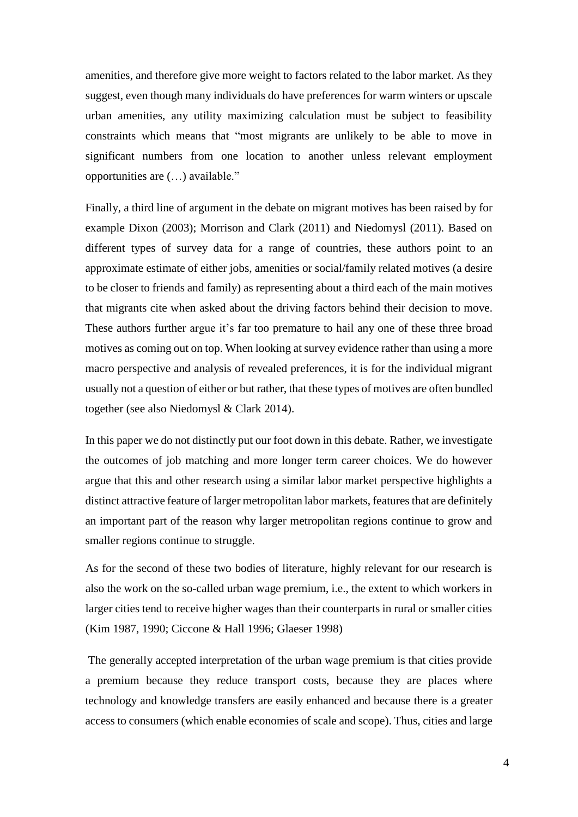amenities, and therefore give more weight to factors related to the labor market. As they suggest, even though many individuals do have preferences for warm winters or upscale urban amenities, any utility maximizing calculation must be subject to feasibility constraints which means that "most migrants are unlikely to be able to move in significant numbers from one location to another unless relevant employment opportunities are (…) available."

Finally, a third line of argument in the debate on migrant motives has been raised by for example Dixon (2003); Morrison and Clark (2011) and Niedomysl (2011). Based on different types of survey data for a range of countries, these authors point to an approximate estimate of either jobs, amenities or social/family related motives (a desire to be closer to friends and family) as representing about a third each of the main motives that migrants cite when asked about the driving factors behind their decision to move. These authors further argue it's far too premature to hail any one of these three broad motives as coming out on top. When looking at survey evidence rather than using a more macro perspective and analysis of revealed preferences, it is for the individual migrant usually not a question of either or but rather, that these types of motives are often bundled together (see also Niedomysl & Clark 2014).

In this paper we do not distinctly put our foot down in this debate. Rather, we investigate the outcomes of job matching and more longer term career choices. We do however argue that this and other research using a similar labor market perspective highlights a distinct attractive feature of larger metropolitan labor markets, features that are definitely an important part of the reason why larger metropolitan regions continue to grow and smaller regions continue to struggle.

As for the second of these two bodies of literature, highly relevant for our research is also the work on the so-called urban wage premium, i.e., the extent to which workers in larger cities tend to receive higher wages than their counterparts in rural or smaller cities (Kim 1987, 1990; Ciccone & Hall 1996; Glaeser 1998)

The generally accepted interpretation of the urban wage premium is that cities provide a premium because they reduce transport costs, because they are places where technology and knowledge transfers are easily enhanced and because there is a greater access to consumers (which enable economies of scale and scope). Thus, cities and large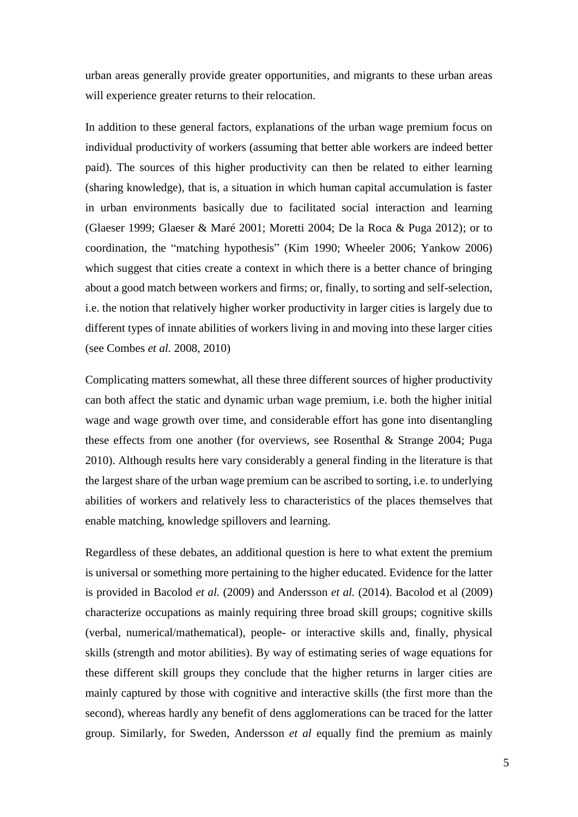urban areas generally provide greater opportunities, and migrants to these urban areas will experience greater returns to their relocation.

In addition to these general factors, explanations of the urban wage premium focus on individual productivity of workers (assuming that better able workers are indeed better paid). The sources of this higher productivity can then be related to either learning (sharing knowledge), that is, a situation in which human capital accumulation is faster in urban environments basically due to facilitated social interaction and learning (Glaeser 1999; Glaeser & Maré 2001; Moretti 2004; De la Roca & Puga 2012); or to coordination, the "matching hypothesis" (Kim 1990; Wheeler 2006; Yankow 2006) which suggest that cities create a context in which there is a better chance of bringing about a good match between workers and firms; or, finally, to sorting and self-selection, i.e. the notion that relatively higher worker productivity in larger cities is largely due to different types of innate abilities of workers living in and moving into these larger cities (see Combes *et al.* 2008, 2010)

Complicating matters somewhat, all these three different sources of higher productivity can both affect the static and dynamic urban wage premium, i.e. both the higher initial wage and wage growth over time, and considerable effort has gone into disentangling these effects from one another (for overviews, see Rosenthal & Strange 2004; Puga 2010). Although results here vary considerably a general finding in the literature is that the largest share of the urban wage premium can be ascribed to sorting, i.e. to underlying abilities of workers and relatively less to characteristics of the places themselves that enable matching, knowledge spillovers and learning.

Regardless of these debates, an additional question is here to what extent the premium is universal or something more pertaining to the higher educated. Evidence for the latter is provided in Bacolod *et al.* (2009) and Andersson *et al.* (2014). Bacolod et al (2009) characterize occupations as mainly requiring three broad skill groups; cognitive skills (verbal, numerical/mathematical), people- or interactive skills and, finally, physical skills (strength and motor abilities). By way of estimating series of wage equations for these different skill groups they conclude that the higher returns in larger cities are mainly captured by those with cognitive and interactive skills (the first more than the second), whereas hardly any benefit of dens agglomerations can be traced for the latter group. Similarly, for Sweden, Andersson *et al* equally find the premium as mainly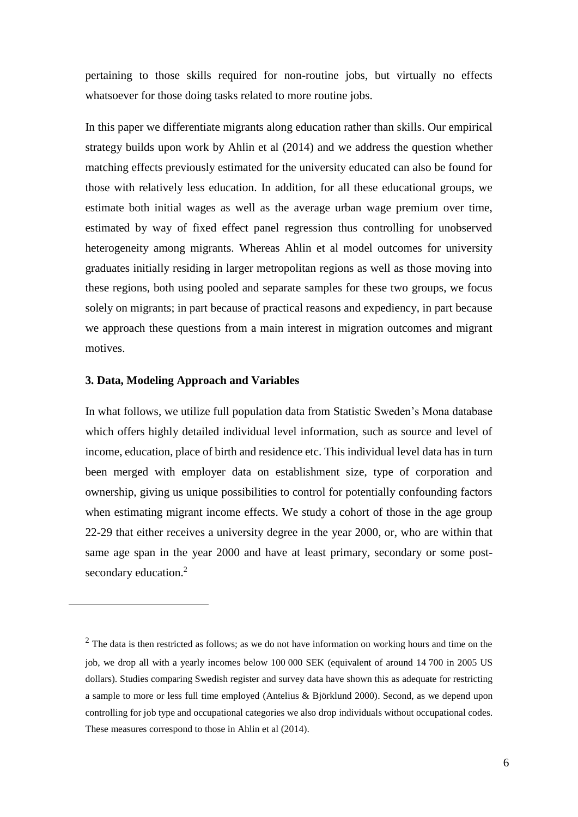pertaining to those skills required for non-routine jobs, but virtually no effects whatsoever for those doing tasks related to more routine jobs.

In this paper we differentiate migrants along education rather than skills. Our empirical strategy builds upon work by Ahlin et al (2014) and we address the question whether matching effects previously estimated for the university educated can also be found for those with relatively less education. In addition, for all these educational groups, we estimate both initial wages as well as the average urban wage premium over time, estimated by way of fixed effect panel regression thus controlling for unobserved heterogeneity among migrants. Whereas Ahlin et al model outcomes for university graduates initially residing in larger metropolitan regions as well as those moving into these regions, both using pooled and separate samples for these two groups, we focus solely on migrants; in part because of practical reasons and expediency, in part because we approach these questions from a main interest in migration outcomes and migrant motives.

#### **3. Data, Modeling Approach and Variables**

<u>.</u>

In what follows, we utilize full population data from Statistic Sweden's Mona database which offers highly detailed individual level information, such as source and level of income, education, place of birth and residence etc. This individual level data has in turn been merged with employer data on establishment size, type of corporation and ownership, giving us unique possibilities to control for potentially confounding factors when estimating migrant income effects. We study a cohort of those in the age group 22-29 that either receives a university degree in the year 2000, or, who are within that same age span in the year 2000 and have at least primary, secondary or some postsecondary education.<sup>2</sup>

 $2$  The data is then restricted as follows; as we do not have information on working hours and time on the job, we drop all with a yearly incomes below 100 000 SEK (equivalent of around 14 700 in 2005 US dollars). Studies comparing Swedish register and survey data have shown this as adequate for restricting a sample to more or less full time employed (Antelius & Björklund 2000). Second, as we depend upon controlling for job type and occupational categories we also drop individuals without occupational codes. These measures correspond to those in Ahlin et al (2014).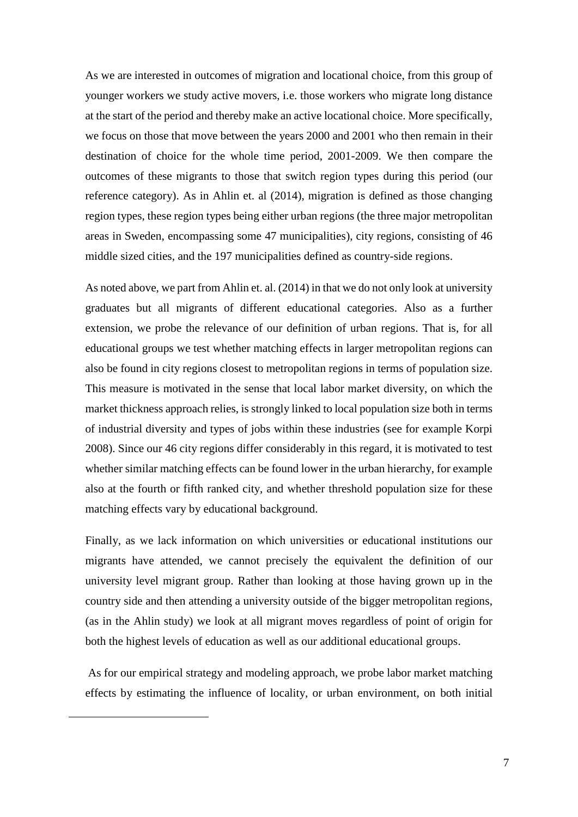As we are interested in outcomes of migration and locational choice, from this group of younger workers we study active movers, i.e. those workers who migrate long distance at the start of the period and thereby make an active locational choice. More specifically, we focus on those that move between the years 2000 and 2001 who then remain in their destination of choice for the whole time period, 2001-2009. We then compare the outcomes of these migrants to those that switch region types during this period (our reference category). As in Ahlin et. al (2014), migration is defined as those changing region types, these region types being either urban regions (the three major metropolitan areas in Sweden, encompassing some 47 municipalities), city regions, consisting of 46 middle sized cities, and the 197 municipalities defined as country-side regions.

As noted above, we part from Ahlin et. al. (2014) in that we do not only look at university graduates but all migrants of different educational categories. Also as a further extension, we probe the relevance of our definition of urban regions. That is, for all educational groups we test whether matching effects in larger metropolitan regions can also be found in city regions closest to metropolitan regions in terms of population size. This measure is motivated in the sense that local labor market diversity, on which the market thickness approach relies, is strongly linked to local population size both in terms of industrial diversity and types of jobs within these industries (see for example Korpi 2008). Since our 46 city regions differ considerably in this regard, it is motivated to test whether similar matching effects can be found lower in the urban hierarchy, for example also at the fourth or fifth ranked city, and whether threshold population size for these matching effects vary by educational background.

Finally, as we lack information on which universities or educational institutions our migrants have attended, we cannot precisely the equivalent the definition of our university level migrant group. Rather than looking at those having grown up in the country side and then attending a university outside of the bigger metropolitan regions, (as in the Ahlin study) we look at all migrant moves regardless of point of origin for both the highest levels of education as well as our additional educational groups.

As for our empirical strategy and modeling approach, we probe labor market matching effects by estimating the influence of locality, or urban environment, on both initial

<u>.</u>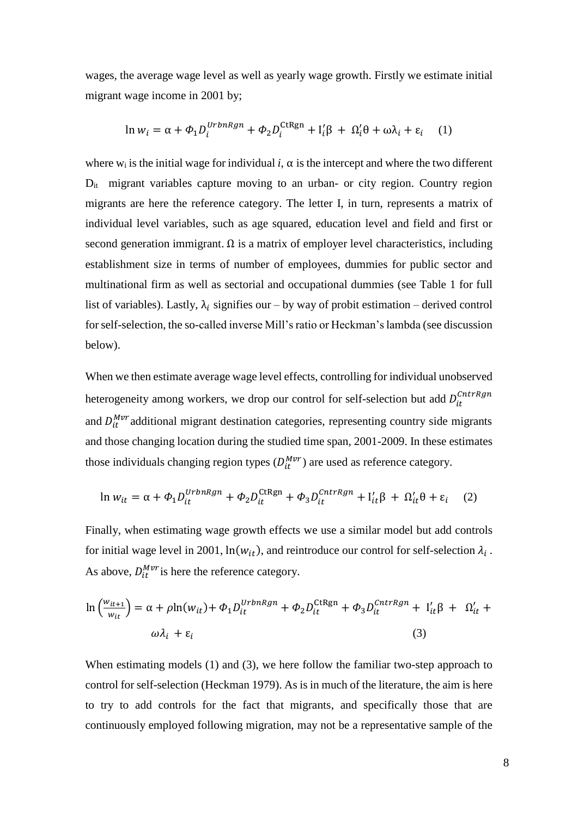wages, the average wage level as well as yearly wage growth. Firstly we estimate initial migrant wage income in 2001 by;

$$
\ln w_i = \alpha + \Phi_1 D_i^{UrbnRgn} + \Phi_2 D_i^{CtRgn} + I'_i \beta + \Omega'_i \theta + \omega \lambda_i + \varepsilon_i \tag{1}
$$

where w<sub>i</sub> is the initial wage for individual *i*,  $\alpha$  is the intercept and where the two different D<sub>it</sub> migrant variables capture moving to an urban- or city region. Country region migrants are here the reference category. The letter I, in turn, represents a matrix of individual level variables, such as age squared, education level and field and first or second generation immigrant.  $\Omega$  is a matrix of employer level characteristics, including establishment size in terms of number of employees, dummies for public sector and multinational firm as well as sectorial and occupational dummies (see Table 1 for full list of variables). Lastly,  $\lambda_i$  signifies our – by way of probit estimation – derived control for self-selection, the so-called inverse Mill's ratio or Heckman's lambda (see discussion below).

When we then estimate average wage level effects, controlling for individual unobserved heterogeneity among workers, we drop our control for self-selection but add  $D_{it}^{cntrRgn}$ and  $D_{it}^{Mvr}$  additional migrant destination categories, representing country side migrants and those changing location during the studied time span, 2001-2009. In these estimates those individuals changing region types  $(D_{it}^{Mvr})$  are used as reference category.

$$
\ln w_{it} = \alpha + \Phi_1 D_{it}^{UrbnRgn} + \Phi_2 D_{it}^{\text{CtRgn}} + \Phi_3 D_{it}^{CntrRgn} + I'_{it}\beta + \Omega'_{it}\theta + \varepsilon_i \quad (2)
$$

Finally, when estimating wage growth effects we use a similar model but add controls for initial wage level in 2001,  $ln(w_{it})$ , and reintroduce our control for self-selection  $\lambda_i$ . As above,  $D_{it}^{Mvr}$  is here the reference category.

$$
\ln\left(\frac{w_{it+1}}{w_{it}}\right) = \alpha + \rho \ln(w_{it}) + \Phi_1 D_{it}^{UrbnRgn} + \Phi_2 D_{it}^{CtRgn} + \Phi_3 D_{it}^{CntrRgn} + I'_{it}\beta + \Omega'_{it} + \omega \lambda_i + \epsilon_i
$$
\n(3)

When estimating models (1) and (3), we here follow the familiar two-step approach to control for self-selection (Heckman 1979). As is in much of the literature, the aim is here to try to add controls for the fact that migrants, and specifically those that are continuously employed following migration, may not be a representative sample of the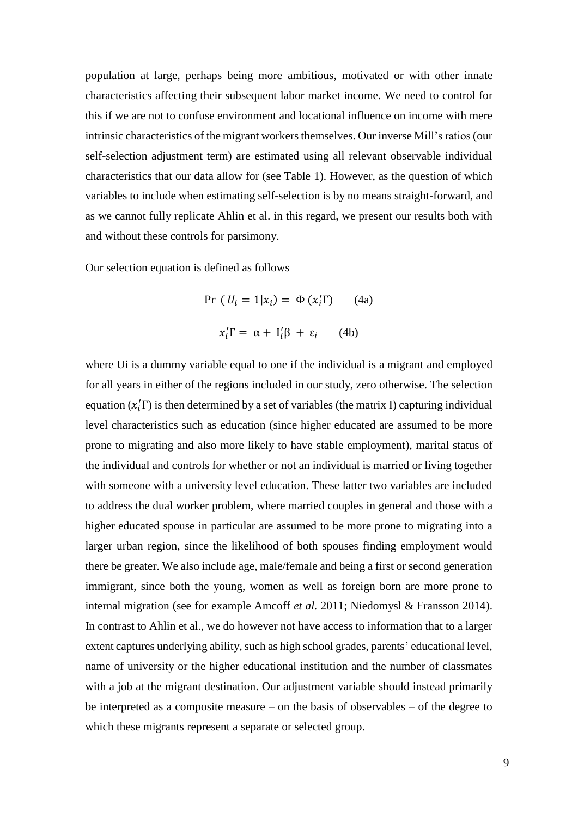population at large, perhaps being more ambitious, motivated or with other innate characteristics affecting their subsequent labor market income. We need to control for this if we are not to confuse environment and locational influence on income with mere intrinsic characteristics of the migrant workers themselves. Our inverse Mill's ratios (our self-selection adjustment term) are estimated using all relevant observable individual characteristics that our data allow for (see Table 1). However, as the question of which variables to include when estimating self-selection is by no means straight-forward, and as we cannot fully replicate Ahlin et al. in this regard, we present our results both with and without these controls for parsimony.

Our selection equation is defined as follows

$$
\Pr (U_i = 1 | x_i) = \Phi (x_i' \Gamma) \qquad (4a)
$$

$$
x_i' \Gamma = \alpha + I_i' \beta + \varepsilon_i \qquad (4b)
$$

where Ui is a dummy variable equal to one if the individual is a migrant and employed for all years in either of the regions included in our study, zero otherwise. The selection equation  $(x'_i)$  is then determined by a set of variables (the matrix I) capturing individual level characteristics such as education (since higher educated are assumed to be more prone to migrating and also more likely to have stable employment), marital status of the individual and controls for whether or not an individual is married or living together with someone with a university level education. These latter two variables are included to address the dual worker problem, where married couples in general and those with a higher educated spouse in particular are assumed to be more prone to migrating into a larger urban region, since the likelihood of both spouses finding employment would there be greater. We also include age, male/female and being a first or second generation immigrant, since both the young, women as well as foreign born are more prone to internal migration (see for example Amcoff *et al.* 2011; Niedomysl & Fransson 2014). In contrast to Ahlin et al., we do however not have access to information that to a larger extent captures underlying ability, such as high school grades, parents' educational level, name of university or the higher educational institution and the number of classmates with a job at the migrant destination. Our adjustment variable should instead primarily be interpreted as a composite measure – on the basis of observables – of the degree to which these migrants represent a separate or selected group.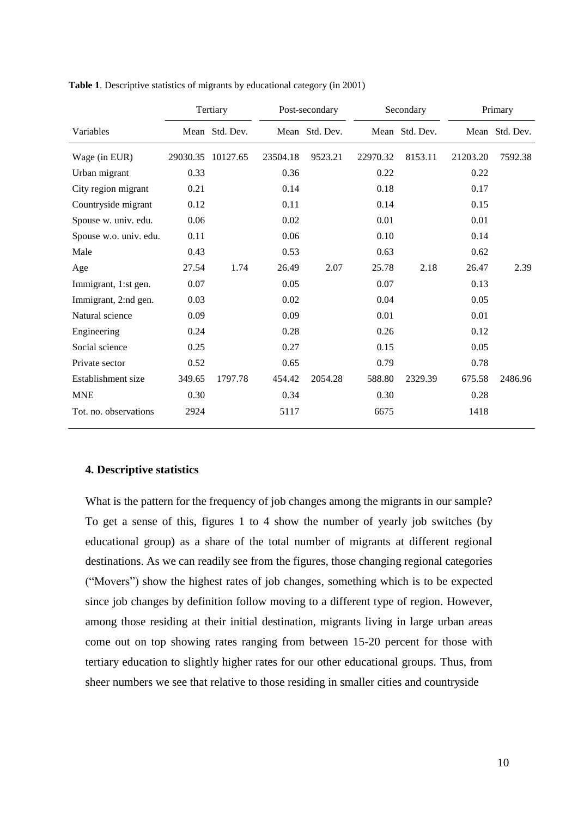|                        |          | Tertiary       | Post-secondary |                |          | Secondary      |          | Primary        |  |
|------------------------|----------|----------------|----------------|----------------|----------|----------------|----------|----------------|--|
| Variables              |          | Mean Std. Dev. |                | Mean Std. Dev. |          | Mean Std. Dev. |          | Mean Std. Dev. |  |
| Wage (in EUR)          | 29030.35 | 10127.65       | 23504.18       | 9523.21        | 22970.32 | 8153.11        | 21203.20 | 7592.38        |  |
| Urban migrant          | 0.33     |                | 0.36           |                | 0.22     |                | 0.22     |                |  |
| City region migrant    | 0.21     |                | 0.14           |                | 0.18     |                | 0.17     |                |  |
| Countryside migrant    | 0.12     |                | 0.11           |                | 0.14     |                | 0.15     |                |  |
| Spouse w. univ. edu.   | 0.06     |                | 0.02           |                | 0.01     |                | 0.01     |                |  |
| Spouse w.o. univ. edu. | 0.11     |                | 0.06           |                | 0.10     |                | 0.14     |                |  |
| Male                   | 0.43     |                | 0.53           |                | 0.63     |                | 0.62     |                |  |
| Age                    | 27.54    | 1.74           | 26.49          | 2.07           | 25.78    | 2.18           | 26.47    | 2.39           |  |
| Immigrant, 1:st gen.   | 0.07     |                | 0.05           |                | 0.07     |                | 0.13     |                |  |
| Immigrant, 2:nd gen.   | 0.03     |                | 0.02           |                | 0.04     |                | 0.05     |                |  |
| Natural science        | 0.09     |                | 0.09           |                | 0.01     |                | 0.01     |                |  |
| Engineering            | 0.24     |                | 0.28           |                | 0.26     |                | 0.12     |                |  |
| Social science         | 0.25     |                | 0.27           |                | 0.15     |                | 0.05     |                |  |
| Private sector         | 0.52     |                | 0.65           |                | 0.79     |                | 0.78     |                |  |
| Establishment size     | 349.65   | 1797.78        | 454.42         | 2054.28        | 588.80   | 2329.39        | 675.58   | 2486.96        |  |
| <b>MNE</b>             | 0.30     |                | 0.34           |                | 0.30     |                | 0.28     |                |  |
| Tot. no. observations  | 2924     |                | 5117           |                | 6675     |                | 1418     |                |  |

**Table 1**. Descriptive statistics of migrants by educational category (in 2001)

## **4. Descriptive statistics**

What is the pattern for the frequency of job changes among the migrants in our sample? To get a sense of this, figures 1 to 4 show the number of yearly job switches (by educational group) as a share of the total number of migrants at different regional destinations. As we can readily see from the figures, those changing regional categories ("Movers") show the highest rates of job changes, something which is to be expected since job changes by definition follow moving to a different type of region. However, among those residing at their initial destination, migrants living in large urban areas come out on top showing rates ranging from between 15-20 percent for those with tertiary education to slightly higher rates for our other educational groups. Thus, from sheer numbers we see that relative to those residing in smaller cities and countryside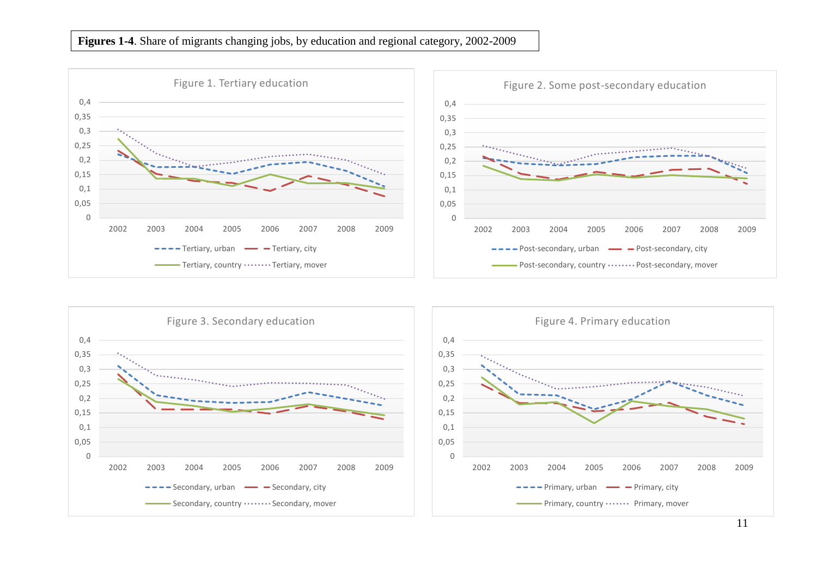# **Figures 1-4**. Share of migrants changing jobs, by education and regional category, 2002-2009

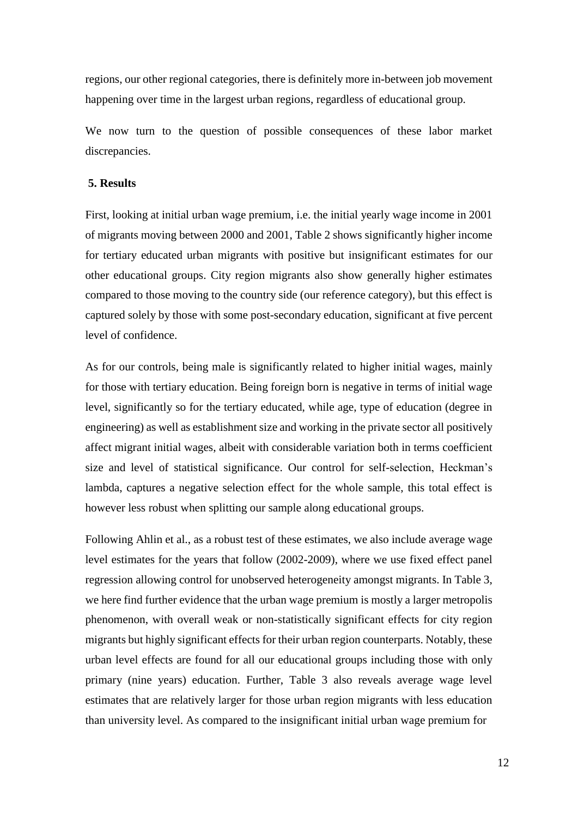regions, our other regional categories, there is definitely more in-between job movement happening over time in the largest urban regions, regardless of educational group.

We now turn to the question of possible consequences of these labor market discrepancies.

## **5. Results**

First, looking at initial urban wage premium, i.e. the initial yearly wage income in 2001 of migrants moving between 2000 and 2001, Table 2 shows significantly higher income for tertiary educated urban migrants with positive but insignificant estimates for our other educational groups. City region migrants also show generally higher estimates compared to those moving to the country side (our reference category), but this effect is captured solely by those with some post-secondary education, significant at five percent level of confidence.

As for our controls, being male is significantly related to higher initial wages, mainly for those with tertiary education. Being foreign born is negative in terms of initial wage level, significantly so for the tertiary educated, while age, type of education (degree in engineering) as well as establishment size and working in the private sector all positively affect migrant initial wages, albeit with considerable variation both in terms coefficient size and level of statistical significance. Our control for self-selection, Heckman's lambda, captures a negative selection effect for the whole sample, this total effect is however less robust when splitting our sample along educational groups.

Following Ahlin et al., as a robust test of these estimates, we also include average wage level estimates for the years that follow (2002-2009), where we use fixed effect panel regression allowing control for unobserved heterogeneity amongst migrants. In Table 3, we here find further evidence that the urban wage premium is mostly a larger metropolis phenomenon, with overall weak or non-statistically significant effects for city region migrants but highly significant effects for their urban region counterparts. Notably, these urban level effects are found for all our educational groups including those with only primary (nine years) education. Further, Table 3 also reveals average wage level estimates that are relatively larger for those urban region migrants with less education than university level. As compared to the insignificant initial urban wage premium for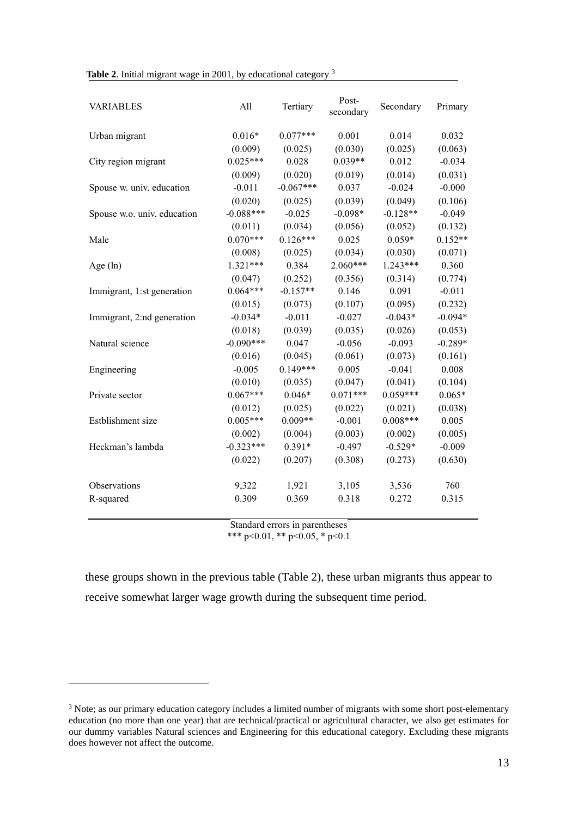|  |  | Table 2. Initial migrant wage in 2001, by educational category <sup>3</sup> |  |
|--|--|-----------------------------------------------------------------------------|--|
|  |  |                                                                             |  |

| <b>VARIABLES</b>            | All         | Tertiary    | Post-<br>secondary | Secondary  | Primary   |
|-----------------------------|-------------|-------------|--------------------|------------|-----------|
| Urban migrant               | $0.016*$    | $0.077***$  | 0.001              | 0.014      | 0.032     |
|                             | (0.009)     | (0.025)     | (0.030)            | (0.025)    | (0.063)   |
| City region migrant         | $0.025***$  | 0.028       | $0.039**$          | 0.012      | $-0.034$  |
|                             | (0.009)     | (0.020)     | (0.019)            | (0.014)    | (0.031)   |
| Spouse w. univ. education   | $-0.011$    | $-0.067***$ | 0.037              | $-0.024$   | $-0.000$  |
|                             | (0.020)     | (0.025)     | (0.039)            | (0.049)    | (0.106)   |
| Spouse w.o. univ. education | $-0.088***$ | $-0.025$    | $-0.098*$          | $-0.128**$ | $-0.049$  |
|                             | (0.011)     | (0.034)     | (0.056)            | (0.052)    | (0.132)   |
| Male                        | $0.070***$  | $0.126***$  | 0.025              | $0.059*$   | $0.152**$ |
|                             | (0.008)     | (0.025)     | (0.034)            | (0.030)    | (0.071)   |
| Age $(ln)$                  | $1.321***$  | 0.384       | $2.060***$         | $1.243***$ | 0.360     |
|                             | (0.047)     | (0.252)     | (0.356)            | (0.314)    | (0.774)   |
| Immigrant, 1:st generation  | $0.064***$  | $-0.157**$  | 0.146              | 0.091      | $-0.011$  |
|                             | (0.015)     | (0.073)     | (0.107)            | (0.095)    | (0.232)   |
| Immigrant, 2:nd generation  | $-0.034*$   | $-0.011$    | $-0.027$           | $-0.043*$  | $-0.094*$ |
|                             | (0.018)     | (0.039)     | (0.035)            | (0.026)    | (0.053)   |
| Natural science             | $-0.090***$ | 0.047       | $-0.056$           | $-0.093$   | $-0.289*$ |
|                             | (0.016)     | (0.045)     | (0.061)            | (0.073)    | (0.161)   |
| Engineering                 | $-0.005$    | $0.149***$  | 0.005              | $-0.041$   | 0.008     |
|                             | (0.010)     | (0.035)     | (0.047)            | (0.041)    | (0.104)   |
| Private sector              | $0.067***$  | $0.046*$    | $0.071***$         | $0.059***$ | $0.065*$  |
|                             | (0.012)     | (0.025)     | (0.022)            | (0.021)    | (0.038)   |
| Estblishment size           | $0.005***$  | $0.009**$   | $-0.001$           | $0.008***$ | 0.005     |
|                             | (0.002)     | (0.004)     | (0.003)            | (0.002)    | (0.005)   |
| Heckman's lambda            | $-0.323***$ | $0.391*$    | $-0.497$           | $-0.529*$  | $-0.009$  |
|                             | (0.022)     | (0.207)     | (0.308)            | (0.273)    | (0.630)   |
| Observations                | 9,322       | 1,921       | 3,105              | 3,536      | 760       |
| R-squared                   | 0.309       | 0.369       | 0.318              | 0.272      | 0.315     |
|                             |             |             |                    |            |           |

Standard errors in parentheses \*\*\* p<0.01, \*\* p<0.05, \* p<0.1

these groups shown in the previous table (Table 2), these urban migrants thus appear to receive somewhat larger wage growth during the subsequent time period.

1

<sup>&</sup>lt;sup>3</sup> Note; as our primary education category includes a limited number of migrants with some short post-elementary education (no more than one year) that are technical/practical or agricultural character, we also get estimates for our dummy variables Natural sciences and Engineering for this educational category. Excluding these migrants does however not affect the outcome.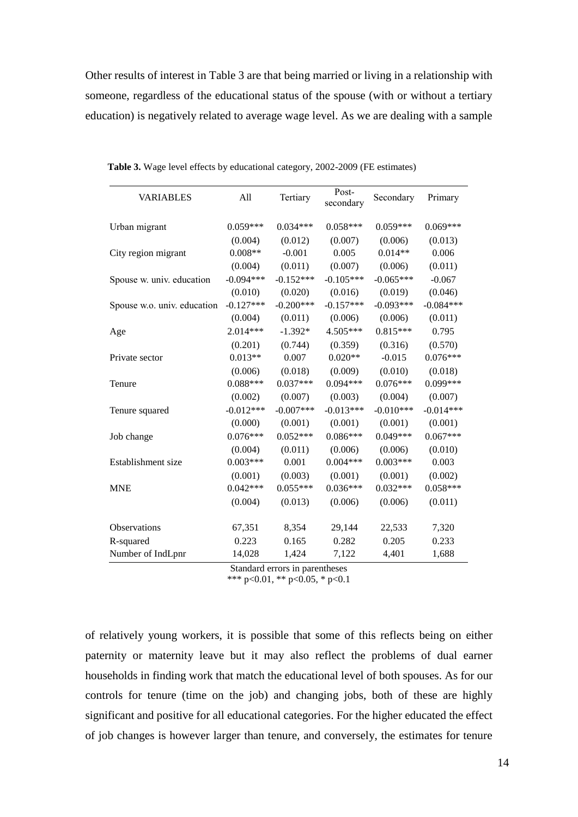Other results of interest in Table 3 are that being married or living in a relationship with someone, regardless of the educational status of the spouse (with or without a tertiary education) is negatively related to average wage level. As we are dealing with a sample

| <b>VARIABLES</b>            | All         | Tertiary    | Post-<br>secondary | Secondary   | Primary     |
|-----------------------------|-------------|-------------|--------------------|-------------|-------------|
| Urban migrant               | $0.059***$  | $0.034***$  | $0.058***$         | $0.059***$  | $0.069***$  |
|                             | (0.004)     | (0.012)     | (0.007)            | (0.006)     | (0.013)     |
| City region migrant         | $0.008**$   | $-0.001$    | 0.005              | $0.014**$   | 0.006       |
|                             | (0.004)     | (0.011)     | (0.007)            | (0.006)     | (0.011)     |
| Spouse w. univ. education   | $-0.094***$ | $-0.152***$ | $-0.105***$        | $-0.065***$ | $-0.067$    |
|                             | (0.010)     | (0.020)     | (0.016)            | (0.019)     | (0.046)     |
| Spouse w.o. univ. education | $-0.127***$ | $-0.200***$ | $-0.157***$        | $-0.093***$ | $-0.084***$ |
|                             | (0.004)     | (0.011)     | (0.006)            | (0.006)     | (0.011)     |
| Age                         | 2.014***    | $-1.392*$   | 4.505***           | $0.815***$  | 0.795       |
|                             | (0.201)     | (0.744)     | (0.359)            | (0.316)     | (0.570)     |
| Private sector              | $0.013**$   | 0.007       | $0.020**$          | $-0.015$    | $0.076***$  |
|                             | (0.006)     | (0.018)     | (0.009)            | (0.010)     | (0.018)     |
| Tenure                      | $0.088***$  | $0.037***$  | $0.094***$         | $0.076***$  | 0.099***    |
|                             | (0.002)     | (0.007)     | (0.003)            | (0.004)     | (0.007)     |
| Tenure squared              | $-0.012***$ | $-0.007***$ | $-0.013***$        | $-0.010***$ | $-0.014***$ |
|                             | (0.000)     | (0.001)     | (0.001)            | (0.001)     | (0.001)     |
| Job change                  | $0.076***$  | $0.052***$  | $0.086***$         | $0.049***$  | $0.067***$  |
|                             | (0.004)     | (0.011)     | (0.006)            | (0.006)     | (0.010)     |
| Establishment size          | $0.003***$  | 0.001       | $0.004***$         | $0.003***$  | 0.003       |
|                             | (0.001)     | (0.003)     | (0.001)            | (0.001)     | (0.002)     |
| <b>MNE</b>                  | $0.042***$  | $0.055***$  | $0.036***$         | $0.032***$  | $0.058***$  |
|                             | (0.004)     | (0.013)     | (0.006)            | (0.006)     | (0.011)     |
| <b>Observations</b>         | 67,351      | 8,354       | 29,144             | 22,533      | 7,320       |
| R-squared                   | 0.223       | 0.165       | 0.282              | 0.205       | 0.233       |
| Number of IndLpnr           | 14,028      | 1,424       | 7,122              | 4,401       | 1,688       |

 **Table 3.** Wage level effects by educational category, 2002-2009 (FE estimates)

Standard errors in parentheses

\*\*\* p<0.01, \*\* p<0.05, \* p<0.1

of relatively young workers, it is possible that some of this reflects being on either paternity or maternity leave but it may also reflect the problems of dual earner households in finding work that match the educational level of both spouses. As for our controls for tenure (time on the job) and changing jobs, both of these are highly significant and positive for all educational categories. For the higher educated the effect of job changes is however larger than tenure, and conversely, the estimates for tenure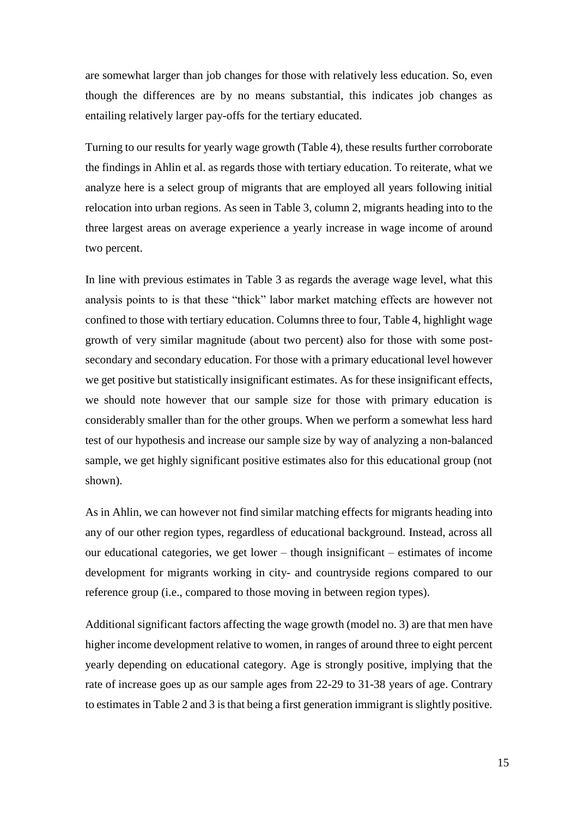are somewhat larger than job changes for those with relatively less education. So, even though the differences are by no means substantial, this indicates job changes as entailing relatively larger pay-offs for the tertiary educated.

Turning to our results for yearly wage growth (Table 4), these results further corroborate the findings in Ahlin et al. as regards those with tertiary education. To reiterate, what we analyze here is a select group of migrants that are employed all years following initial relocation into urban regions. As seen in Table 3, column 2, migrants heading into to the three largest areas on average experience a yearly increase in wage income of around two percent.

In line with previous estimates in Table 3 as regards the average wage level, what this analysis points to is that these "thick" labor market matching effects are however not confined to those with tertiary education. Columns three to four, Table 4, highlight wage growth of very similar magnitude (about two percent) also for those with some postsecondary and secondary education. For those with a primary educational level however we get positive but statistically insignificant estimates. As for these insignificant effects, we should note however that our sample size for those with primary education is considerably smaller than for the other groups. When we perform a somewhat less hard test of our hypothesis and increase our sample size by way of analyzing a non-balanced sample, we get highly significant positive estimates also for this educational group (not shown).

As in Ahlin, we can however not find similar matching effects for migrants heading into any of our other region types, regardless of educational background. Instead, across all our educational categories, we get lower – though insignificant – estimates of income development for migrants working in city- and countryside regions compared to our reference group (i.e., compared to those moving in between region types).

Additional significant factors affecting the wage growth (model no. 3) are that men have higher income development relative to women, in ranges of around three to eight percent yearly depending on educational category. Age is strongly positive, implying that the rate of increase goes up as our sample ages from 22-29 to 31-38 years of age. Contrary to estimates in Table 2 and 3 is that being a first generation immigrant is slightly positive.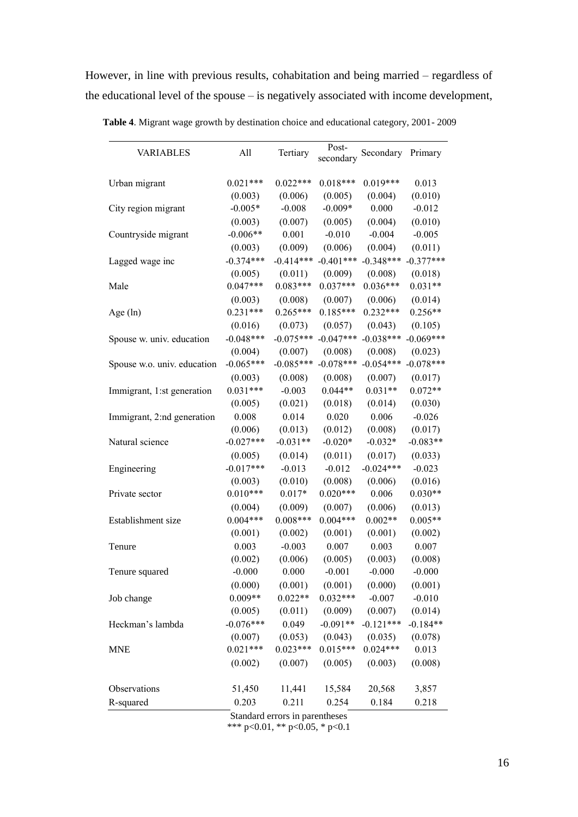However, in line with previous results, cohabitation and being married – regardless of the educational level of the spouse – is negatively associated with income development,

| <b>VARIABLES</b>            | All         | Tertiary    | Post-<br>secondary | Secondary   | Primary     |
|-----------------------------|-------------|-------------|--------------------|-------------|-------------|
| Urban migrant               | $0.021***$  | $0.022***$  | $0.018***$         | $0.019***$  | 0.013       |
|                             | (0.003)     | (0.006)     | (0.005)            | (0.004)     | (0.010)     |
| City region migrant         | $-0.005*$   | $-0.008$    | $-0.009*$          | 0.000       | $-0.012$    |
|                             | (0.003)     | (0.007)     | (0.005)            | (0.004)     | (0.010)     |
| Countryside migrant         | $-0.006**$  | 0.001       | $-0.010$           | $-0.004$    | $-0.005$    |
|                             | (0.003)     | (0.009)     | (0.006)            | (0.004)     | (0.011)     |
| Lagged wage inc             | $-0.374***$ | $-0.414***$ | $-0.401***$        | $-0.348***$ | $-0.377***$ |
|                             | (0.005)     | (0.011)     | (0.009)            | (0.008)     | (0.018)     |
| Male                        | $0.047***$  | $0.083***$  | $0.037***$         | $0.036***$  | $0.031**$   |
|                             | (0.003)     | (0.008)     | (0.007)            | (0.006)     | (0.014)     |
| Age $(ln)$                  | $0.231***$  | $0.265***$  | $0.185***$         | $0.232***$  | $0.256**$   |
|                             | (0.016)     | (0.073)     | (0.057)            | (0.043)     | (0.105)     |
| Spouse w. univ. education   | $-0.048***$ | $-0.075***$ | $-0.047***$        | $-0.038***$ | $-0.069***$ |
|                             | (0.004)     | (0.007)     | (0.008)            | (0.008)     | (0.023)     |
| Spouse w.o. univ. education | $-0.065***$ | $-0.085***$ | $-0.078***$        | $-0.054***$ | $-0.078***$ |
|                             | (0.003)     | (0.008)     | (0.008)            | (0.007)     | (0.017)     |
| Immigrant, 1:st generation  | $0.031***$  | $-0.003$    | $0.044**$          | $0.031**$   | $0.072**$   |
|                             | (0.005)     | (0.021)     | (0.018)            | (0.014)     | (0.030)     |
| Immigrant, 2:nd generation  | 0.008       | 0.014       | 0.020              | 0.006       | $-0.026$    |
|                             | (0.006)     | (0.013)     | (0.012)            | (0.008)     | (0.017)     |
| Natural science             | $-0.027***$ | $-0.031**$  | $-0.020*$          | $-0.032*$   | $-0.083**$  |
|                             | (0.005)     | (0.014)     | (0.011)            | (0.017)     | (0.033)     |
| Engineering                 | $-0.017***$ | $-0.013$    | $-0.012$           | $-0.024***$ | $-0.023$    |
|                             | (0.003)     | (0.010)     | (0.008)            | (0.006)     | (0.016)     |
| Private sector              | $0.010***$  | $0.017*$    | $0.020***$         | 0.006       | $0.030**$   |
|                             | (0.004)     | (0.009)     | (0.007)            | (0.006)     | (0.013)     |
| Establishment size          | $0.004***$  | $0.008***$  | $0.004***$         | $0.002**$   | $0.005**$   |
|                             | (0.001)     | (0.002)     | (0.001)            | (0.001)     | (0.002)     |
| Tenure                      | 0.003       | $-0.003$    | 0.007              | 0.003       | 0.007       |
|                             | (0.002)     | (0.006)     | (0.005)            | (0.003)     | (0.008)     |
| Tenure squared              | $-0.000$    | 0.000       | $-0.001$           | $-0.000$    | $-0.000$    |
|                             | (0.000)     | (0.001)     | (0.001)            | (0.000)     | (0.001)     |
| Job change                  | $0.009**$   | $0.022**$   | $0.032***$         | $-0.007$    | $-0.010$    |
|                             | (0.005)     | (0.011)     | (0.009)            | (0.007)     | (0.014)     |
| Heckman's lambda            | $-0.076***$ | 0.049       | $-0.091**$         | $-0.121***$ | $-0.184**$  |
|                             | (0.007)     | (0.053)     | (0.043)            | (0.035)     | (0.078)     |
| <b>MNE</b>                  | $0.021***$  | $0.023***$  | $0.015***$         | $0.024***$  | 0.013       |
|                             | (0.002)     | (0.007)     | (0.005)            | (0.003)     | (0.008)     |
| Observations                | 51,450      | 11,441      | 15,584             | 20,568      | 3,857       |
| R-squared                   | 0.203       | 0.211       | 0.254              | 0.184       | 0.218       |

 **Table 4**. Migrant wage growth by destination choice and educational category, 2001- 2009

Standard errors in parentheses \*\*\* p<0.01, \*\* p<0.05, \* p<0.1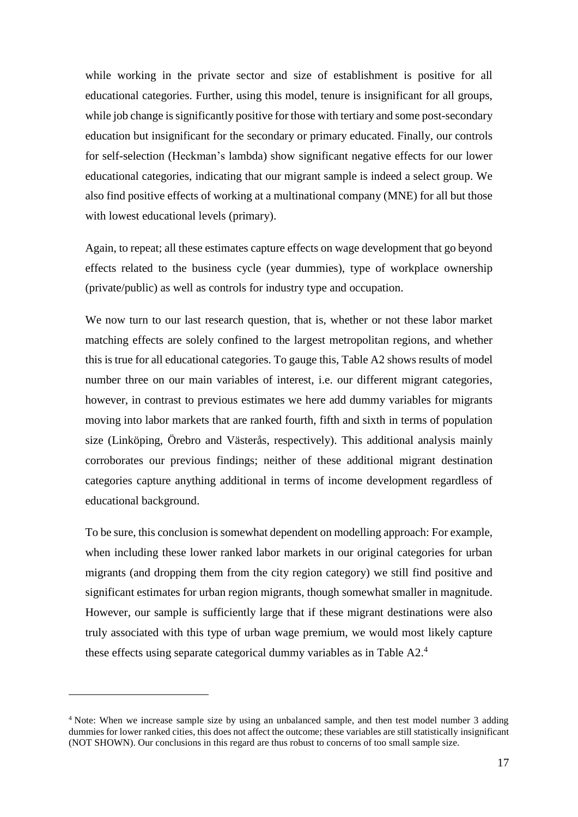while working in the private sector and size of establishment is positive for all educational categories. Further, using this model, tenure is insignificant for all groups, while job change is significantly positive for those with tertiary and some post-secondary education but insignificant for the secondary or primary educated. Finally, our controls for self-selection (Heckman's lambda) show significant negative effects for our lower educational categories, indicating that our migrant sample is indeed a select group. We also find positive effects of working at a multinational company (MNE) for all but those with lowest educational levels (primary).

Again, to repeat; all these estimates capture effects on wage development that go beyond effects related to the business cycle (year dummies), type of workplace ownership (private/public) as well as controls for industry type and occupation.

We now turn to our last research question, that is, whether or not these labor market matching effects are solely confined to the largest metropolitan regions, and whether this is true for all educational categories. To gauge this, Table A2 shows results of model number three on our main variables of interest, i.e. our different migrant categories, however, in contrast to previous estimates we here add dummy variables for migrants moving into labor markets that are ranked fourth, fifth and sixth in terms of population size (Linköping, Örebro and Västerås, respectively). This additional analysis mainly corroborates our previous findings; neither of these additional migrant destination categories capture anything additional in terms of income development regardless of educational background.

To be sure, this conclusion is somewhat dependent on modelling approach: For example, when including these lower ranked labor markets in our original categories for urban migrants (and dropping them from the city region category) we still find positive and significant estimates for urban region migrants, though somewhat smaller in magnitude. However, our sample is sufficiently large that if these migrant destinations were also truly associated with this type of urban wage premium, we would most likely capture these effects using separate categorical dummy variables as in Table A2.<sup>4</sup>

<u>.</u>

<sup>4</sup> Note: When we increase sample size by using an unbalanced sample, and then test model number 3 adding dummies for lower ranked cities, this does not affect the outcome; these variables are still statistically insignificant (NOT SHOWN). Our conclusions in this regard are thus robust to concerns of too small sample size.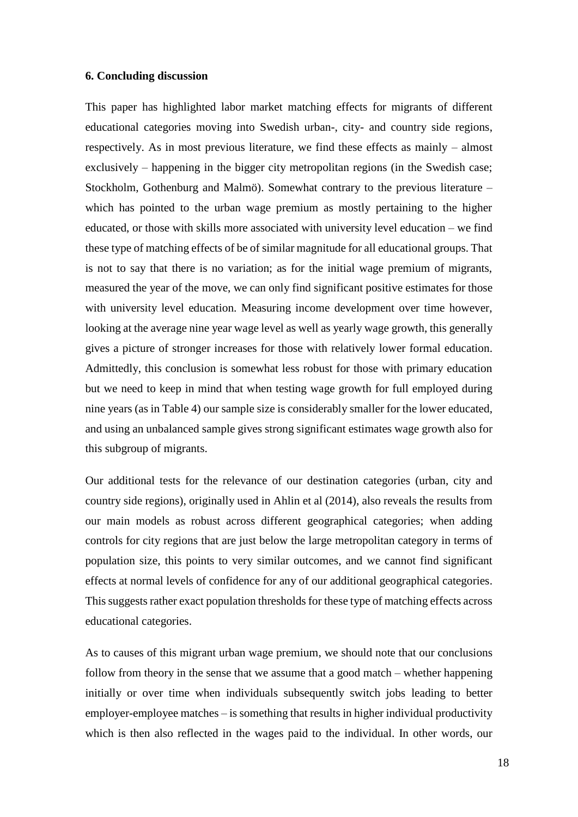#### **6. Concluding discussion**

This paper has highlighted labor market matching effects for migrants of different educational categories moving into Swedish urban-, city- and country side regions, respectively. As in most previous literature, we find these effects as mainly – almost exclusively – happening in the bigger city metropolitan regions (in the Swedish case; Stockholm, Gothenburg and Malmö). Somewhat contrary to the previous literature – which has pointed to the urban wage premium as mostly pertaining to the higher educated, or those with skills more associated with university level education – we find these type of matching effects of be of similar magnitude for all educational groups. That is not to say that there is no variation; as for the initial wage premium of migrants, measured the year of the move, we can only find significant positive estimates for those with university level education. Measuring income development over time however, looking at the average nine year wage level as well as yearly wage growth, this generally gives a picture of stronger increases for those with relatively lower formal education. Admittedly, this conclusion is somewhat less robust for those with primary education but we need to keep in mind that when testing wage growth for full employed during nine years (as in Table 4) our sample size is considerably smaller for the lower educated, and using an unbalanced sample gives strong significant estimates wage growth also for this subgroup of migrants.

Our additional tests for the relevance of our destination categories (urban, city and country side regions), originally used in Ahlin et al (2014), also reveals the results from our main models as robust across different geographical categories; when adding controls for city regions that are just below the large metropolitan category in terms of population size, this points to very similar outcomes, and we cannot find significant effects at normal levels of confidence for any of our additional geographical categories. This suggests rather exact population thresholds for these type of matching effects across educational categories.

As to causes of this migrant urban wage premium, we should note that our conclusions follow from theory in the sense that we assume that a good match – whether happening initially or over time when individuals subsequently switch jobs leading to better employer-employee matches – is something that results in higher individual productivity which is then also reflected in the wages paid to the individual. In other words, our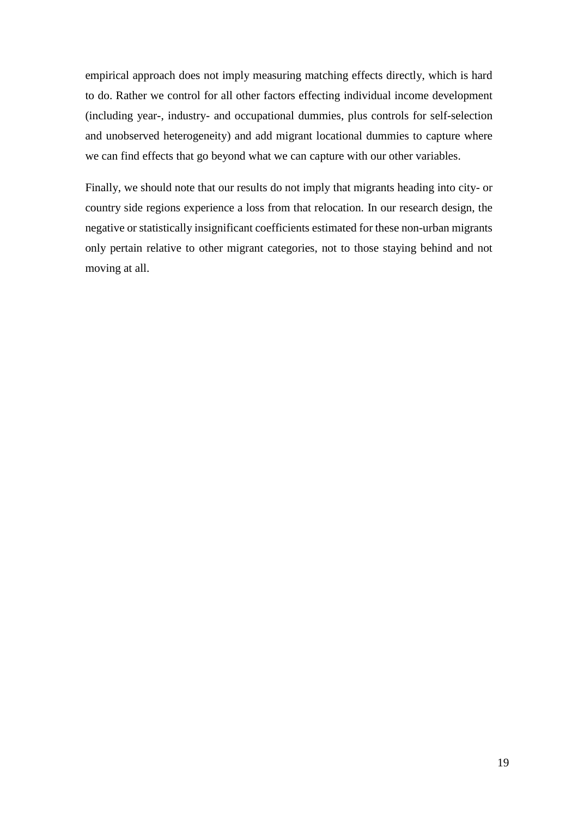empirical approach does not imply measuring matching effects directly, which is hard to do. Rather we control for all other factors effecting individual income development (including year-, industry- and occupational dummies, plus controls for self-selection and unobserved heterogeneity) and add migrant locational dummies to capture where we can find effects that go beyond what we can capture with our other variables.

Finally, we should note that our results do not imply that migrants heading into city- or country side regions experience a loss from that relocation. In our research design, the negative or statistically insignificant coefficients estimated for these non-urban migrants only pertain relative to other migrant categories, not to those staying behind and not moving at all.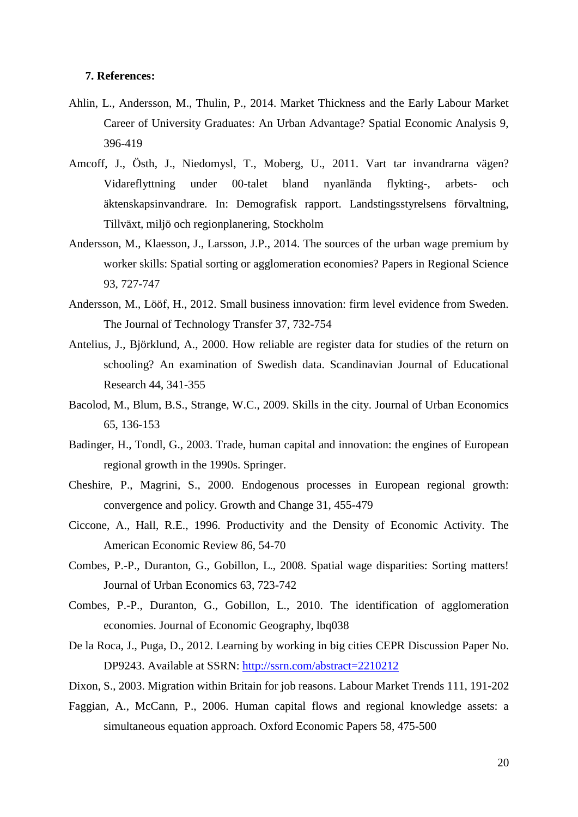#### **7. References:**

- Ahlin, L., Andersson, M., Thulin, P., 2014. Market Thickness and the Early Labour Market Career of University Graduates: An Urban Advantage? Spatial Economic Analysis 9, 396-419
- Amcoff, J., Östh, J., Niedomysl, T., Moberg, U., 2011. Vart tar invandrarna vägen? Vidareflyttning under 00-talet bland nyanlända flykting-, arbets- och äktenskapsinvandrare. In: Demografisk rapport. Landstingsstyrelsens förvaltning, Tillväxt, miljö och regionplanering, Stockholm
- Andersson, M., Klaesson, J., Larsson, J.P., 2014. The sources of the urban wage premium by worker skills: Spatial sorting or agglomeration economies? Papers in Regional Science 93, 727-747
- Andersson, M., Lööf, H., 2012. Small business innovation: firm level evidence from Sweden. The Journal of Technology Transfer 37, 732-754
- Antelius, J., Björklund, A., 2000. How reliable are register data for studies of the return on schooling? An examination of Swedish data. Scandinavian Journal of Educational Research 44, 341-355
- Bacolod, M., Blum, B.S., Strange, W.C., 2009. Skills in the city. Journal of Urban Economics 65, 136-153
- Badinger, H., Tondl, G., 2003. Trade, human capital and innovation: the engines of European regional growth in the 1990s. Springer.
- Cheshire, P., Magrini, S., 2000. Endogenous processes in European regional growth: convergence and policy. Growth and Change 31, 455-479
- Ciccone, A., Hall, R.E., 1996. Productivity and the Density of Economic Activity. The American Economic Review 86, 54-70
- Combes, P.-P., Duranton, G., Gobillon, L., 2008. Spatial wage disparities: Sorting matters! Journal of Urban Economics 63, 723-742
- Combes, P.-P., Duranton, G., Gobillon, L., 2010. The identification of agglomeration economies. Journal of Economic Geography, lbq038
- De la Roca, J., Puga, D., 2012. Learning by working in big cities CEPR Discussion Paper No. DP9243. Available at SSRN:<http://ssrn.com/abstract=2210212>
- Dixon, S., 2003. Migration within Britain for job reasons. Labour Market Trends 111, 191-202
- Faggian, A., McCann, P., 2006. Human capital flows and regional knowledge assets: a simultaneous equation approach. Oxford Economic Papers 58, 475-500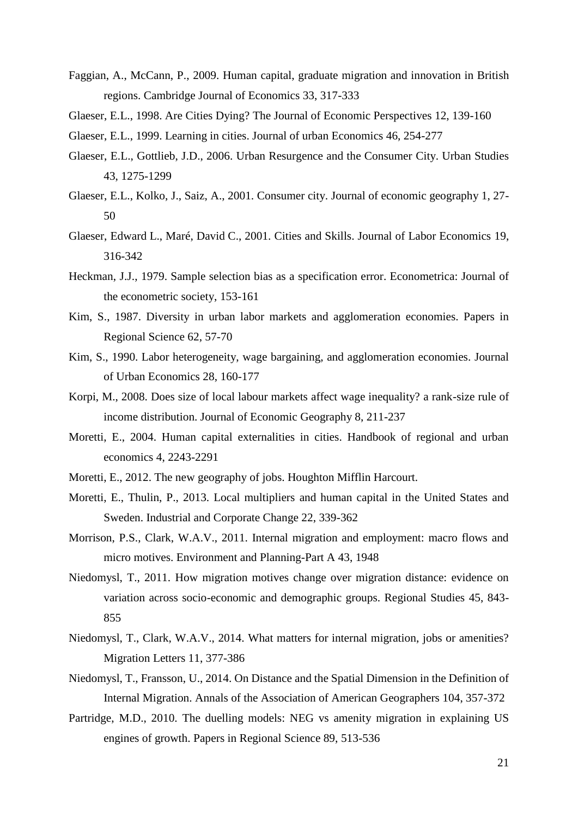- Faggian, A., McCann, P., 2009. Human capital, graduate migration and innovation in British regions. Cambridge Journal of Economics 33, 317-333
- Glaeser, E.L., 1998. Are Cities Dying? The Journal of Economic Perspectives 12, 139-160
- Glaeser, E.L., 1999. Learning in cities. Journal of urban Economics 46, 254-277
- Glaeser, E.L., Gottlieb, J.D., 2006. Urban Resurgence and the Consumer City. Urban Studies 43, 1275-1299
- Glaeser, E.L., Kolko, J., Saiz, A., 2001. Consumer city. Journal of economic geography 1, 27- 50
- Glaeser, Edward L., Maré, David C., 2001. Cities and Skills. Journal of Labor Economics 19, 316-342
- Heckman, J.J., 1979. Sample selection bias as a specification error. Econometrica: Journal of the econometric society, 153-161
- Kim, S., 1987. Diversity in urban labor markets and agglomeration economies. Papers in Regional Science 62, 57-70
- Kim, S., 1990. Labor heterogeneity, wage bargaining, and agglomeration economies. Journal of Urban Economics 28, 160-177
- Korpi, M., 2008. Does size of local labour markets affect wage inequality? a rank-size rule of income distribution. Journal of Economic Geography 8, 211-237
- Moretti, E., 2004. Human capital externalities in cities. Handbook of regional and urban economics 4, 2243-2291
- Moretti, E., 2012. The new geography of jobs. Houghton Mifflin Harcourt.
- Moretti, E., Thulin, P., 2013. Local multipliers and human capital in the United States and Sweden. Industrial and Corporate Change 22, 339-362
- Morrison, P.S., Clark, W.A.V., 2011. Internal migration and employment: macro flows and micro motives. Environment and Planning-Part A 43, 1948
- Niedomysl, T., 2011. How migration motives change over migration distance: evidence on variation across socio-economic and demographic groups. Regional Studies 45, 843- 855
- Niedomysl, T., Clark, W.A.V., 2014. What matters for internal migration, jobs or amenities? Migration Letters 11, 377-386
- Niedomysl, T., Fransson, U., 2014. On Distance and the Spatial Dimension in the Definition of Internal Migration. Annals of the Association of American Geographers 104, 357-372
- Partridge, M.D., 2010. The duelling models: NEG vs amenity migration in explaining US engines of growth. Papers in Regional Science 89, 513-536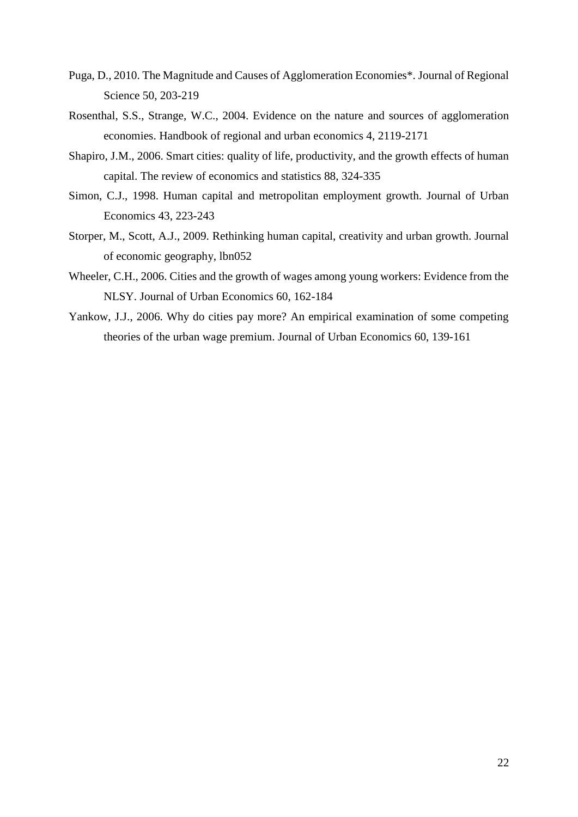- Puga, D., 2010. The Magnitude and Causes of Agglomeration Economies\*. Journal of Regional Science 50, 203-219
- Rosenthal, S.S., Strange, W.C., 2004. Evidence on the nature and sources of agglomeration economies. Handbook of regional and urban economics 4, 2119-2171
- Shapiro, J.M., 2006. Smart cities: quality of life, productivity, and the growth effects of human capital. The review of economics and statistics 88, 324-335
- Simon, C.J., 1998. Human capital and metropolitan employment growth. Journal of Urban Economics 43, 223-243
- Storper, M., Scott, A.J., 2009. Rethinking human capital, creativity and urban growth. Journal of economic geography, lbn052
- Wheeler, C.H., 2006. Cities and the growth of wages among young workers: Evidence from the NLSY. Journal of Urban Economics 60, 162-184
- Yankow, J.J., 2006. Why do cities pay more? An empirical examination of some competing theories of the urban wage premium. Journal of Urban Economics 60, 139-161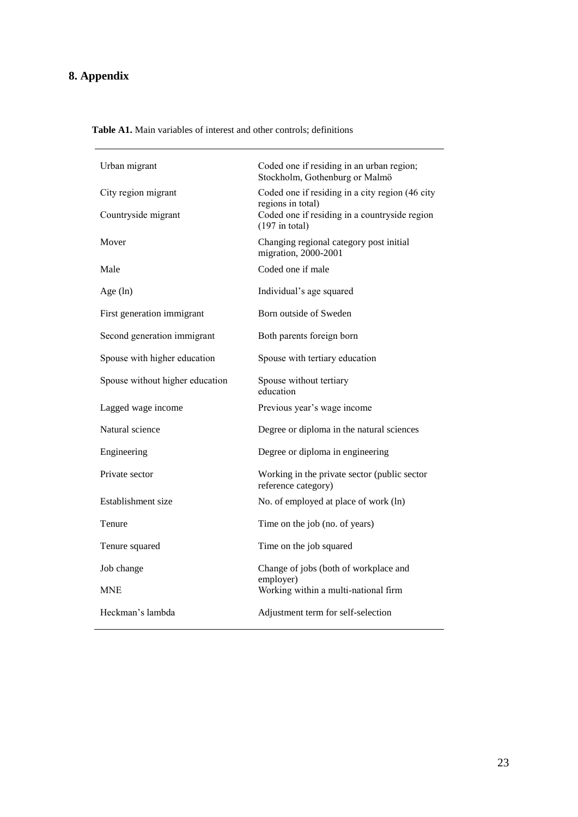# **8. Appendix**

|  | <b>Table A1.</b> Main variables of interest and other controls; definitions |
|--|-----------------------------------------------------------------------------|
|--|-----------------------------------------------------------------------------|

| Urban migrant                   | Coded one if residing in an urban region;<br>Stockholm, Gothenburg or Malmö            |
|---------------------------------|----------------------------------------------------------------------------------------|
| City region migrant             | Coded one if residing in a city region (46 city                                        |
| Countryside migrant             | regions in total)<br>Coded one if residing in a countryside region<br>$(197$ in total) |
| Mover                           | Changing regional category post initial<br>migration, 2000-2001                        |
| Male                            | Coded one if male                                                                      |
| Age (ln)                        | Individual's age squared                                                               |
| First generation immigrant      | Born outside of Sweden                                                                 |
| Second generation immigrant     | Both parents foreign born                                                              |
| Spouse with higher education    | Spouse with tertiary education                                                         |
| Spouse without higher education | Spouse without tertiary<br>education                                                   |
| Lagged wage income              | Previous year's wage income                                                            |
| Natural science                 | Degree or diploma in the natural sciences                                              |
| Engineering                     | Degree or diploma in engineering                                                       |
| Private sector                  | Working in the private sector (public sector<br>reference category)                    |
| Establishment size              | No. of employed at place of work (ln)                                                  |
| Tenure                          | Time on the job (no. of years)                                                         |
| Tenure squared                  | Time on the job squared                                                                |
| Job change                      | Change of jobs (both of workplace and<br>employer)                                     |
| <b>MNE</b>                      | Working within a multi-national firm                                                   |
| Heckman's lambda                | Adjustment term for self-selection                                                     |